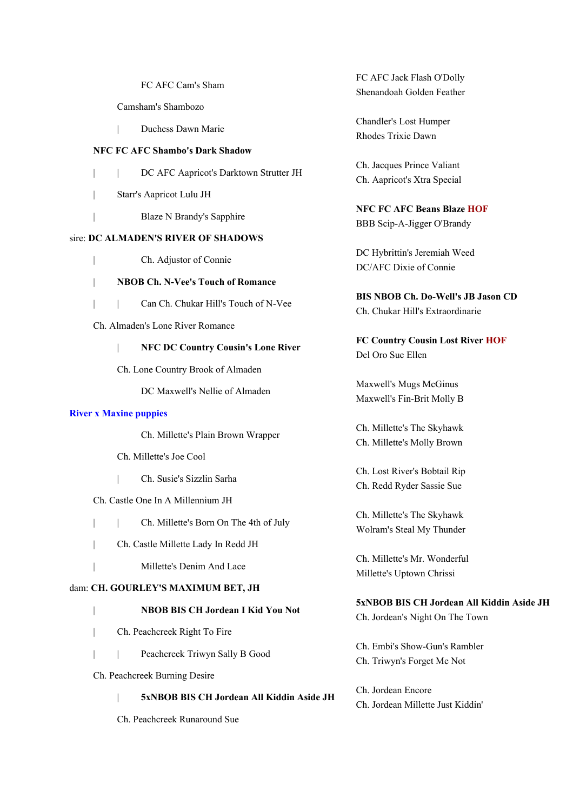FC AFC Cam's Sham

- Camsham's Shambozo
- | Duchess Dawn Marie

#### **NFC FC AFC Shambo's Dark Shadow**

- | | DC AFC Aapricot's Darktown Strutter JH
- | Starr's Aapricot Lulu JH
- | Blaze N Brandy's Sapphire

## sire: **DC ALMADEN'S RIVER OF SHADOWS**

- | Ch. Adjustor of Connie
- | **NBOB Ch. N-Vee's Touch of Romance**
- | | Can Ch. Chukar Hill's Touch of N-Vee
- Ch. Almaden's Lone River Romance
	- | **NFC DC Country Cousin's Lone River**
	- Ch. Lone Country Brook of Almaden

DC Maxwell's Nellie of Almaden

#### **River x Maxine puppies**

Ch. Millette's Plain Brown Wrapper

- Ch. Millette's Joe Cool
- | Ch. Susie's Sizzlin Sarha
- Ch. Castle One In A Millennium JH
- | Ch. Millette's Born On The 4th of July
- | Ch. Castle Millette Lady In Redd JH
- | Millette's Denim And Lace

## dam: **CH. GOURLEY'S MAXIMUM BET, JH**

# | **NBOB BIS CH Jordean I Kid You Not**

- | Ch. Peachcreek Right To Fire
- | | Peachcreek Triwyn Sally B Good
- Ch. Peachcreek Burning Desire

## | **5xNBOB BIS CH Jordean All Kiddin Aside JH**

Ch. Peachcreek Runaround Sue

FC AFC Jack Flash O'Dolly Shenandoah Golden Feather

Chandler's Lost Humper Rhodes Trixie Dawn

Ch. Jacques Prince Valiant Ch. Aapricot's Xtra Special

**NFC FC AFC Beans Blaze HOF** BBB Scip-A-Jigger O'Brandy

DC Hybrittin's Jeremiah Weed DC/AFC Dixie of Connie

**BIS NBOB Ch. Do-Well's JB Jason CD** Ch. Chukar Hill's Extraordinarie

**FC Country Cousin Lost River HOF** Del Oro Sue Ellen

Maxwell's Mugs McGinus Maxwell's Fin-Brit Molly B

Ch. Millette's The Skyhawk Ch. Millette's Molly Brown

Ch. Lost River's Bobtail Rip Ch. Redd Ryder Sassie Sue

Ch. Millette's The Skyhawk Wolram's Steal My Thunder

Ch. Millette's Mr. Wonderful Millette's Uptown Chrissi

# **5xNBOB BIS CH Jordean All Kiddin Aside JH**

Ch. Jordean's Night On The Town

Ch. Embi's Show-Gun's Rambler Ch. Triwyn's Forget Me Not

Ch. Jordean Encore

Ch. Jordean Millette Just Kiddin'